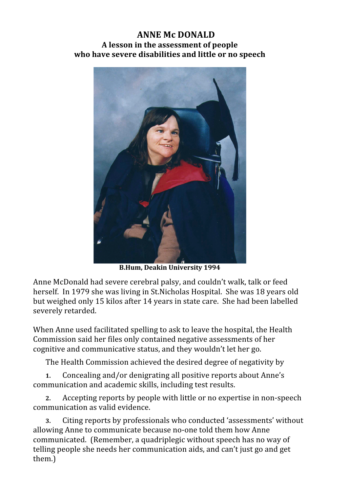## **ANNE Mc DONALD A lesson in the assessment of people who have severe disabilities and little or no speech**



**B.Hum,
Deakin
University
1994**

Anne McDonald had severe cerebral palsy, and couldn't walk, talk or feed herself. In 1979 she was living in St.Nicholas Hospital. She was 18 years old but weighed only 15 kilos after 14 years in state care. She had been labelled severely retarded.

When Anne used facilitated spelling to ask to leave the hospital, the Health Commission said her files only contained negative assessments of her cognitive and communicative status, and they wouldn't let her go.

The Health Commission achieved the desired degree of negativity by

**1.** Concealing and/or denigrating all positive reports about Anne's communication and academic skills, including test results.

**2.** Accepting reports by people with little or no expertise in non‐speech communication as valid evidence.

**3.** Citing reports by professionals who conducted 'assessments' without allowing Anne to communicate because no‐one told them how Anne communicated. (Remember, a quadriplegic without speech has no way of telling people she needs her communication aids, and can't just go and get them.)